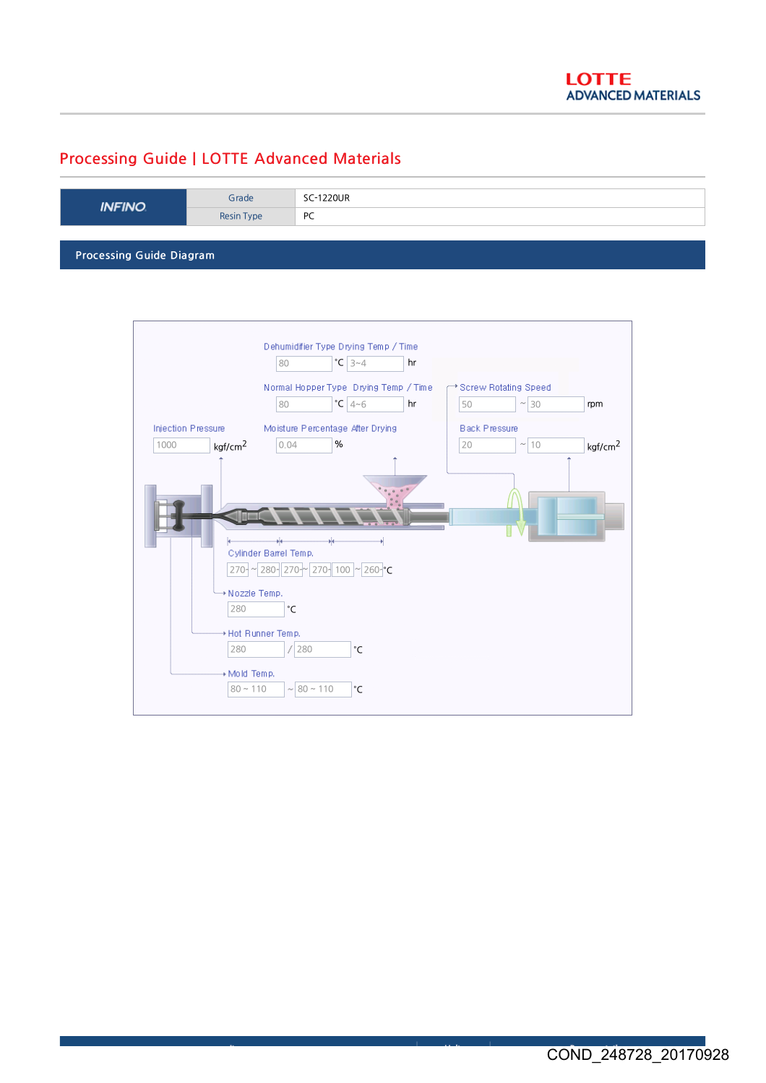## Processing Guide | LOTTE Advanced Materials

| <b>INFINO</b>                   | Grade      | SC-1220UR |  |  |
|---------------------------------|------------|-----------|--|--|
|                                 | Resin Type | PC        |  |  |
|                                 |            |           |  |  |
| <b>Processing Guide Diagram</b> |            |           |  |  |